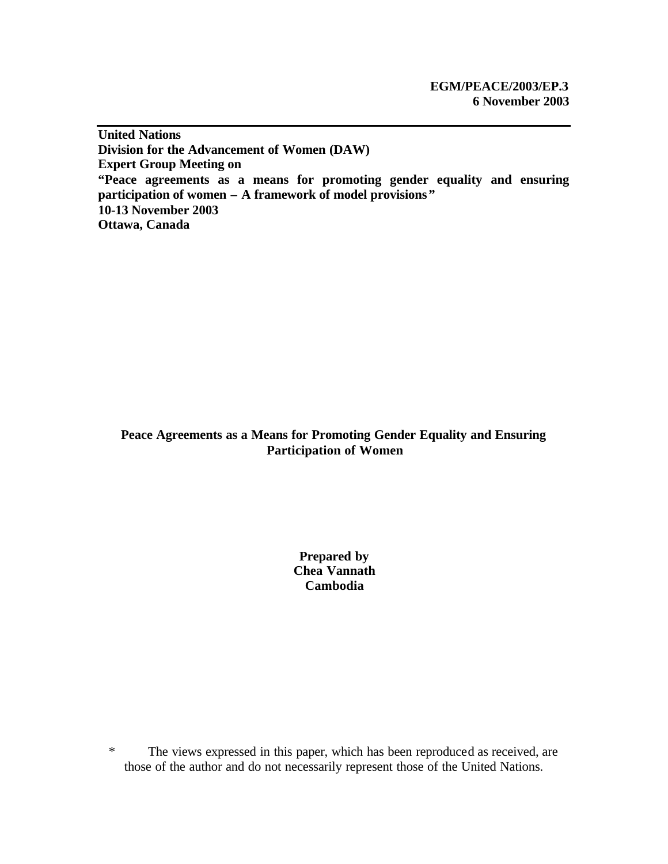**United Nations Division for the Advancement of Women (DAW) Expert Group Meeting on "Peace agreements as a means for promoting gender equality and ensuring participation of women – A framework of model provisions" 10-13 November 2003 Ottawa, Canada**

# **Peace Agreements as a Means for Promoting Gender Equality and Ensuring Participation of Women**

**Prepared by Chea Vannath Cambodia**

\* The views expressed in this paper, which has been reproduced as received, are those of the author and do not necessarily represent those of the United Nations.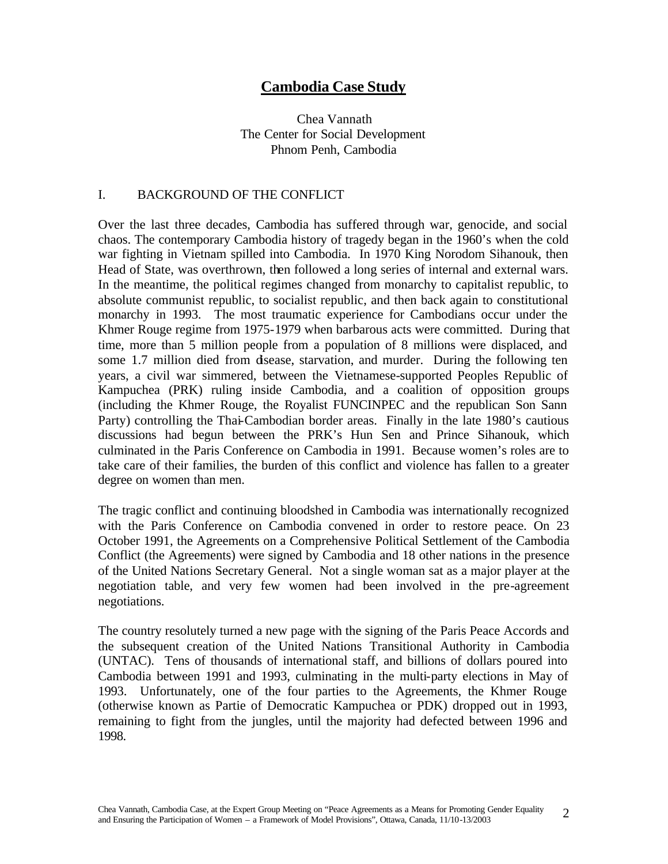# **Cambodia Case Study**

Chea Vannath The Center for Social Development Phnom Penh, Cambodia

### I. BACKGROUND OF THE CONFLICT

Over the last three decades, Cambodia has suffered through war, genocide, and social chaos. The contemporary Cambodia history of tragedy began in the 1960's when the cold war fighting in Vietnam spilled into Cambodia. In 1970 King Norodom Sihanouk, then Head of State, was overthrown, then followed a long series of internal and external wars. In the meantime, the political regimes changed from monarchy to capitalist republic, to absolute communist republic, to socialist republic, and then back again to constitutional monarchy in 1993. The most traumatic experience for Cambodians occur under the Khmer Rouge regime from 1975-1979 when barbarous acts were committed. During that time, more than 5 million people from a population of 8 millions were displaced, and some 1.7 million died from disease, starvation, and murder. During the following ten years, a civil war simmered, between the Vietnamese-supported Peoples Republic of Kampuchea (PRK) ruling inside Cambodia, and a coalition of opposition groups (including the Khmer Rouge, the Royalist FUNCINPEC and the republican Son Sann Party) controlling the Thai-Cambodian border areas. Finally in the late 1980's cautious discussions had begun between the PRK's Hun Sen and Prince Sihanouk, which culminated in the Paris Conference on Cambodia in 1991. Because women's roles are to take care of their families, the burden of this conflict and violence has fallen to a greater degree on women than men.

The tragic conflict and continuing bloodshed in Cambodia was internationally recognized with the Paris Conference on Cambodia convened in order to restore peace. On 23 October 1991, the Agreements on a Comprehensive Political Settlement of the Cambodia Conflict (the Agreements) were signed by Cambodia and 18 other nations in the presence of the United Nations Secretary General. Not a single woman sat as a major player at the negotiation table, and very few women had been involved in the pre-agreement negotiations.

The country resolutely turned a new page with the signing of the Paris Peace Accords and the subsequent creation of the United Nations Transitional Authority in Cambodia (UNTAC). Tens of thousands of international staff, and billions of dollars poured into Cambodia between 1991 and 1993, culminating in the multi-party elections in May of 1993. Unfortunately, one of the four parties to the Agreements, the Khmer Rouge (otherwise known as Partie of Democratic Kampuchea or PDK) dropped out in 1993, remaining to fight from the jungles, until the majority had defected between 1996 and 1998.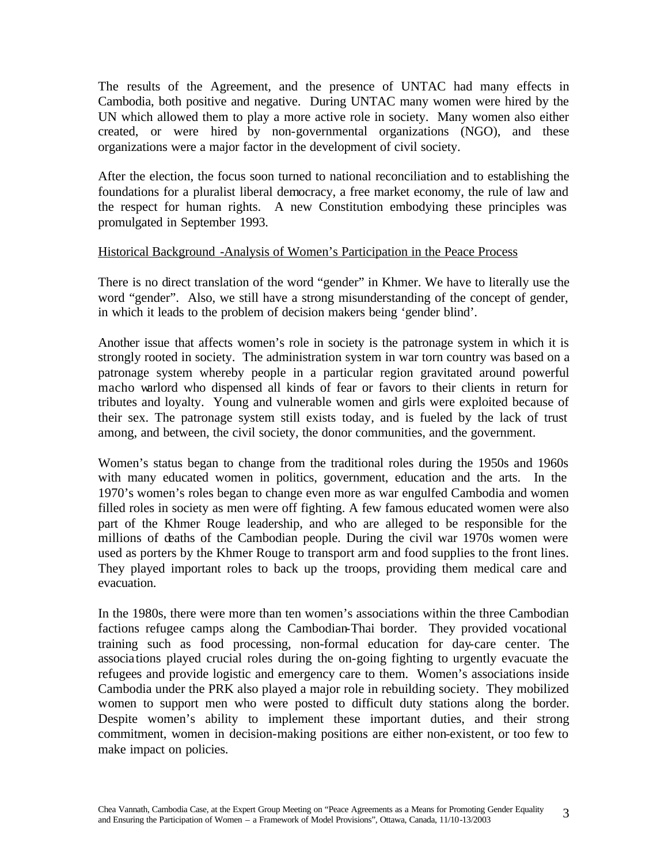The results of the Agreement, and the presence of UNTAC had many effects in Cambodia, both positive and negative. During UNTAC many women were hired by the UN which allowed them to play a more active role in society. Many women also either created, or were hired by non-governmental organizations (NGO), and these organizations were a major factor in the development of civil society.

After the election, the focus soon turned to national reconciliation and to establishing the foundations for a pluralist liberal democracy, a free market economy, the rule of law and the respect for human rights. A new Constitution embodying these principles was promulgated in September 1993.

### Historical Background -Analysis of Women's Participation in the Peace Process

There is no direct translation of the word "gender" in Khmer. We have to literally use the word "gender". Also, we still have a strong misunderstanding of the concept of gender, in which it leads to the problem of decision makers being 'gender blind'.

Another issue that affects women's role in society is the patronage system in which it is strongly rooted in society. The administration system in war torn country was based on a patronage system whereby people in a particular region gravitated around powerful macho warlord who dispensed all kinds of fear or favors to their clients in return for tributes and loyalty. Young and vulnerable women and girls were exploited because of their sex. The patronage system still exists today, and is fueled by the lack of trust among, and between, the civil society, the donor communities, and the government.

Women's status began to change from the traditional roles during the 1950s and 1960s with many educated women in politics, government, education and the arts. In the 1970's women's roles began to change even more as war engulfed Cambodia and women filled roles in society as men were off fighting. A few famous educated women were also part of the Khmer Rouge leadership, and who are alleged to be responsible for the millions of deaths of the Cambodian people. During the civil war 1970s women were used as porters by the Khmer Rouge to transport arm and food supplies to the front lines. They played important roles to back up the troops, providing them medical care and evacuation.

In the 1980s, there were more than ten women's associations within the three Cambodian factions refugee camps along the Cambodian-Thai border. They provided vocational training such as food processing, non-formal education for day-care center. The associations played crucial roles during the on-going fighting to urgently evacuate the refugees and provide logistic and emergency care to them. Women's associations inside Cambodia under the PRK also played a major role in rebuilding society. They mobilized women to support men who were posted to difficult duty stations along the border. Despite women's ability to implement these important duties, and their strong commitment, women in decision-making positions are either non-existent, or too few to make impact on policies.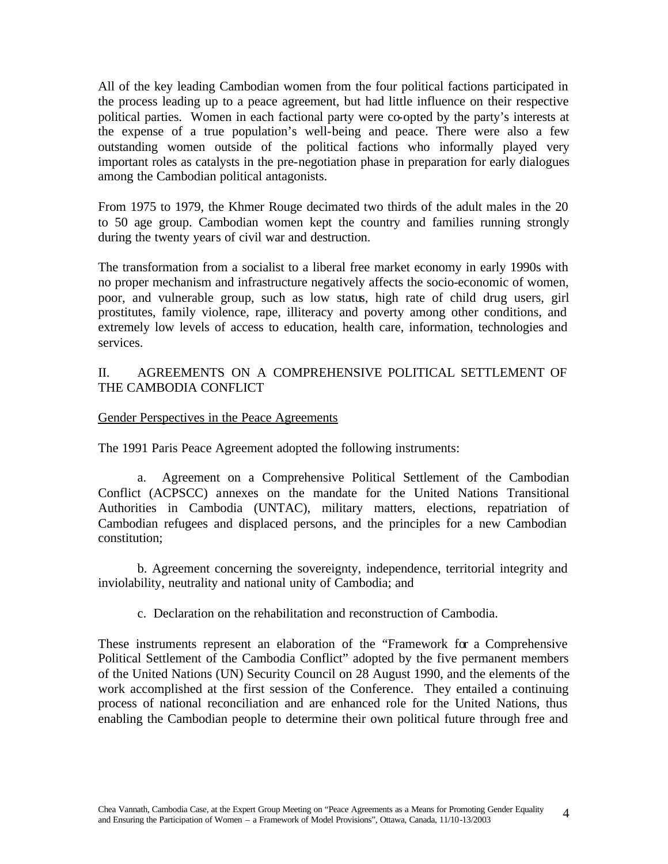All of the key leading Cambodian women from the four political factions participated in the process leading up to a peace agreement, but had little influence on their respective political parties. Women in each factional party were co-opted by the party's interests at the expense of a true population's well-being and peace. There were also a few outstanding women outside of the political factions who informally played very important roles as catalysts in the pre-negotiation phase in preparation for early dialogues among the Cambodian political antagonists.

From 1975 to 1979, the Khmer Rouge decimated two thirds of the adult males in the 20 to 50 age group. Cambodian women kept the country and families running strongly during the twenty years of civil war and destruction.

The transformation from a socialist to a liberal free market economy in early 1990s with no proper mechanism and infrastructure negatively affects the socio-economic of women, poor, and vulnerable group, such as low status, high rate of child drug users, girl prostitutes, family violence, rape, illiteracy and poverty among other conditions, and extremely low levels of access to education, health care, information, technologies and services.

### II. AGREEMENTS ON A COMPREHENSIVE POLITICAL SETTLEMENT OF THE CAMBODIA CONFLICT

#### Gender Perspectives in the Peace Agreements

The 1991 Paris Peace Agreement adopted the following instruments:

a. Agreement on a Comprehensive Political Settlement of the Cambodian Conflict (ACPSCC) annexes on the mandate for the United Nations Transitional Authorities in Cambodia (UNTAC), military matters, elections, repatriation of Cambodian refugees and displaced persons, and the principles for a new Cambodian constitution;

b. Agreement concerning the sovereignty, independence, territorial integrity and inviolability, neutrality and national unity of Cambodia; and

c. Declaration on the rehabilitation and reconstruction of Cambodia.

These instruments represent an elaboration of the "Framework for a Comprehensive Political Settlement of the Cambodia Conflict" adopted by the five permanent members of the United Nations (UN) Security Council on 28 August 1990, and the elements of the work accomplished at the first session of the Conference. They entailed a continuing process of national reconciliation and are enhanced role for the United Nations, thus enabling the Cambodian people to determine their own political future through free and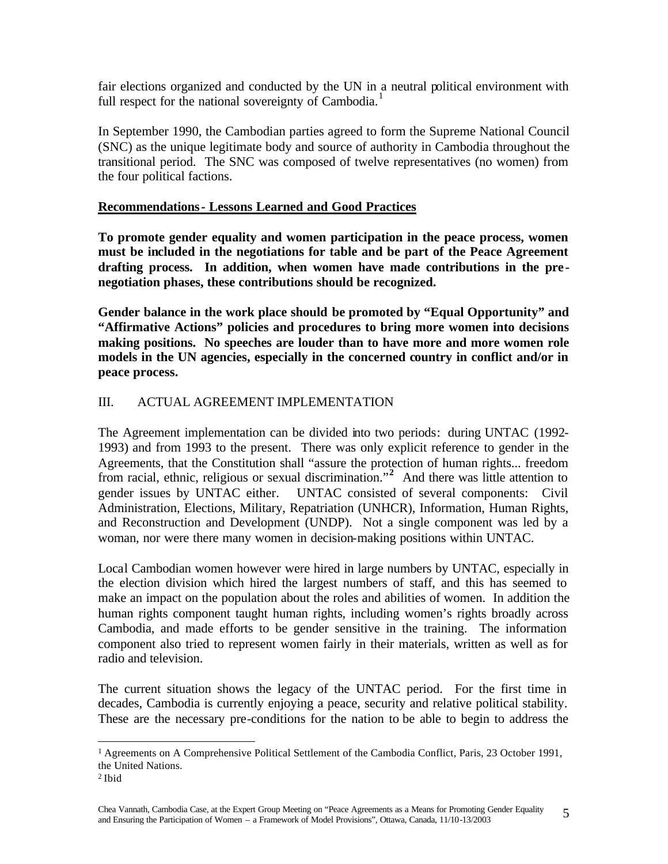fair elections organized and conducted by the UN in a neutral political environment with full respect for the national sovereignty of Cambodia.<sup>1</sup>

In September 1990, the Cambodian parties agreed to form the Supreme National Council (SNC) as the unique legitimate body and source of authority in Cambodia throughout the transitional period. The SNC was composed of twelve representatives (no women) from the four political factions.

### **Recommendations- Lessons Learned and Good Practices**

**To promote gender equality and women participation in the peace process, women must be included in the negotiations for table and be part of the Peace Agreement drafting process. In addition, when women have made contributions in the pre negotiation phases, these contributions should be recognized.** 

**Gender balance in the work place should be promoted by "Equal Opportunity" and "Affirmative Actions" policies and procedures to bring more women into decisions making positions. No speeches are louder than to have more and more women role models in the UN agencies, especially in the concerned country in conflict and/or in peace process.** 

# III. ACTUAL AGREEMENT IMPLEMENTATION

The Agreement implementation can be divided into two periods: during UNTAC (1992- 1993) and from 1993 to the present. There was only explicit reference to gender in the Agreements, that the Constitution shall "assure the protection of human rights... freedom from racial, ethnic, religious or sexual discrimination."**<sup>2</sup>** And there was little attention to gender issues by UNTAC either. UNTAC consisted of several components: Civil Administration, Elections, Military, Repatriation (UNHCR), Information, Human Rights, and Reconstruction and Development (UNDP). Not a single component was led by a woman, nor were there many women in decision-making positions within UNTAC.

Local Cambodian women however were hired in large numbers by UNTAC, especially in the election division which hired the largest numbers of staff, and this has seemed to make an impact on the population about the roles and abilities of women. In addition the human rights component taught human rights, including women's rights broadly across Cambodia, and made efforts to be gender sensitive in the training. The information component also tried to represent women fairly in their materials, written as well as for radio and television.

The current situation shows the legacy of the UNTAC period. For the first time in decades, Cambodia is currently enjoying a peace, security and relative political stability. These are the necessary pre-conditions for the nation to be able to begin to address the

 $\overline{a}$ <sup>1</sup> Agreements on A Comprehensive Political Settlement of the Cambodia Conflict, Paris, 23 October 1991, the United Nations.

<sup>2</sup> Ibid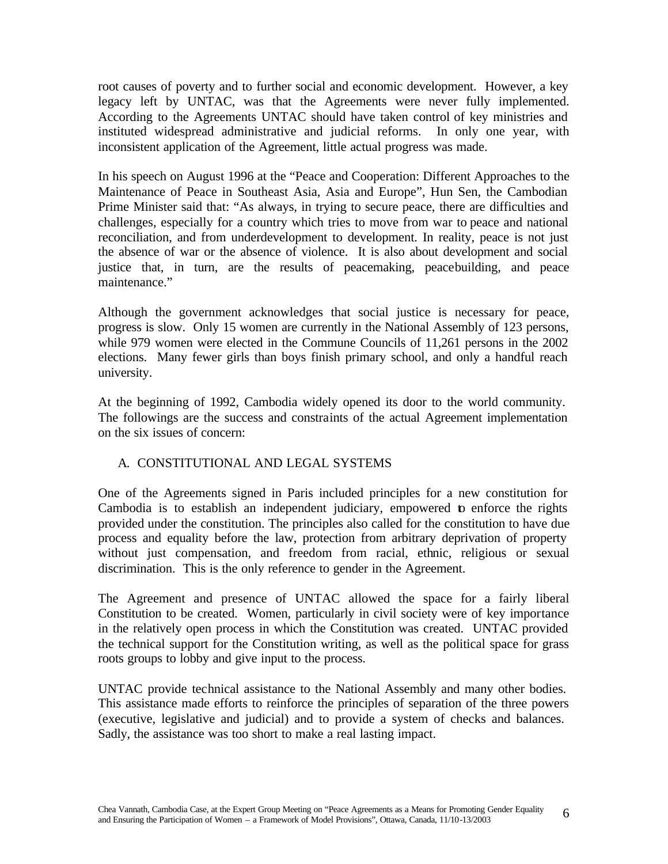root causes of poverty and to further social and economic development. However, a key legacy left by UNTAC, was that the Agreements were never fully implemented. According to the Agreements UNTAC should have taken control of key ministries and instituted widespread administrative and judicial reforms. In only one year, with inconsistent application of the Agreement, little actual progress was made.

In his speech on August 1996 at the "Peace and Cooperation: Different Approaches to the Maintenance of Peace in Southeast Asia, Asia and Europe", Hun Sen, the Cambodian Prime Minister said that: "As always, in trying to secure peace, there are difficulties and challenges, especially for a country which tries to move from war to peace and national reconciliation, and from underdevelopment to development. In reality, peace is not just the absence of war or the absence of violence. It is also about development and social justice that, in turn, are the results of peacemaking, peacebuilding, and peace maintenance."

Although the government acknowledges that social justice is necessary for peace, progress is slow. Only 15 women are currently in the National Assembly of 123 persons, while 979 women were elected in the Commune Councils of 11,261 persons in the 2002 elections. Many fewer girls than boys finish primary school, and only a handful reach university.

At the beginning of 1992, Cambodia widely opened its door to the world community. The followings are the success and constraints of the actual Agreement implementation on the six issues of concern:

# A. CONSTITUTIONAL AND LEGAL SYSTEMS

One of the Agreements signed in Paris included principles for a new constitution for Cambodia is to establish an independent judiciary, empowered to enforce the rights provided under the constitution. The principles also called for the constitution to have due process and equality before the law, protection from arbitrary deprivation of property without just compensation, and freedom from racial, ethnic, religious or sexual discrimination. This is the only reference to gender in the Agreement.

The Agreement and presence of UNTAC allowed the space for a fairly liberal Constitution to be created. Women, particularly in civil society were of key importance in the relatively open process in which the Constitution was created. UNTAC provided the technical support for the Constitution writing, as well as the political space for grass roots groups to lobby and give input to the process.

UNTAC provide technical assistance to the National Assembly and many other bodies. This assistance made efforts to reinforce the principles of separation of the three powers (executive, legislative and judicial) and to provide a system of checks and balances. Sadly, the assistance was too short to make a real lasting impact.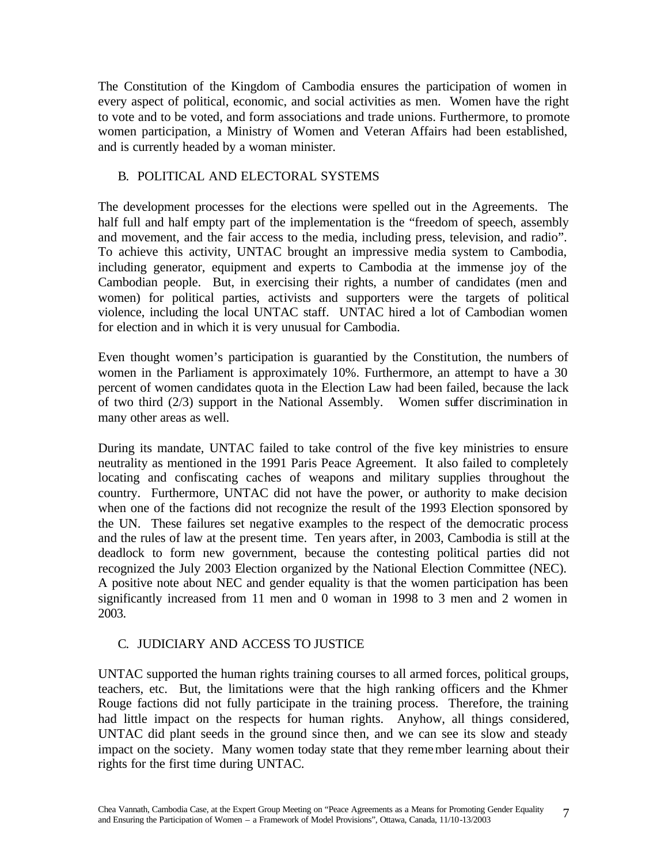The Constitution of the Kingdom of Cambodia ensures the participation of women in every aspect of political, economic, and social activities as men. Women have the right to vote and to be voted, and form associations and trade unions. Furthermore, to promote women participation, a Ministry of Women and Veteran Affairs had been established, and is currently headed by a woman minister.

# B. POLITICAL AND ELECTORAL SYSTEMS

The development processes for the elections were spelled out in the Agreements. The half full and half empty part of the implementation is the "freedom of speech, assembly and movement, and the fair access to the media, including press, television, and radio". To achieve this activity, UNTAC brought an impressive media system to Cambodia, including generator, equipment and experts to Cambodia at the immense joy of the Cambodian people. But, in exercising their rights, a number of candidates (men and women) for political parties, activists and supporters were the targets of political violence, including the local UNTAC staff. UNTAC hired a lot of Cambodian women for election and in which it is very unusual for Cambodia.

Even thought women's participation is guarantied by the Constitution, the numbers of women in the Parliament is approximately 10%. Furthermore, an attempt to have a 30 percent of women candidates quota in the Election Law had been failed, because the lack of two third (2/3) support in the National Assembly. Women suffer discrimination in many other areas as well.

During its mandate, UNTAC failed to take control of the five key ministries to ensure neutrality as mentioned in the 1991 Paris Peace Agreement. It also failed to completely locating and confiscating caches of weapons and military supplies throughout the country. Furthermore, UNTAC did not have the power, or authority to make decision when one of the factions did not recognize the result of the 1993 Election sponsored by the UN. These failures set negative examples to the respect of the democratic process and the rules of law at the present time. Ten years after, in 2003, Cambodia is still at the deadlock to form new government, because the contesting political parties did not recognized the July 2003 Election organized by the National Election Committee (NEC). A positive note about NEC and gender equality is that the women participation has been significantly increased from 11 men and 0 woman in 1998 to 3 men and 2 women in 2003.

# C. JUDICIARY AND ACCESS TO JUSTICE

UNTAC supported the human rights training courses to all armed forces, political groups, teachers, etc. But, the limitations were that the high ranking officers and the Khmer Rouge factions did not fully participate in the training process. Therefore, the training had little impact on the respects for human rights. Anyhow, all things considered, UNTAC did plant seeds in the ground since then, and we can see its slow and steady impact on the society. Many women today state that they remember learning about their rights for the first time during UNTAC.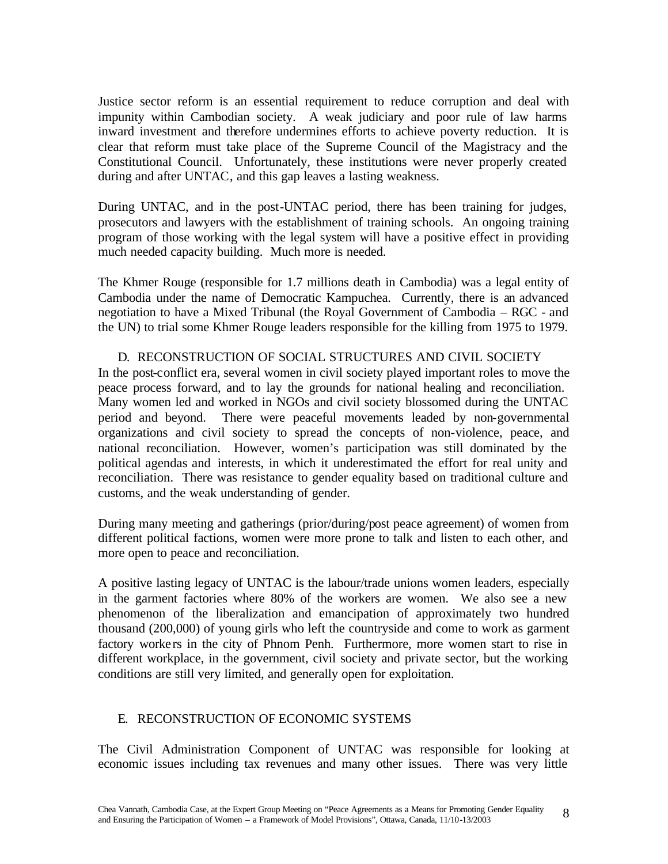Justice sector reform is an essential requirement to reduce corruption and deal with impunity within Cambodian society. A weak judiciary and poor rule of law harms inward investment and therefore undermines efforts to achieve poverty reduction. It is clear that reform must take place of the Supreme Council of the Magistracy and the Constitutional Council. Unfortunately, these institutions were never properly created during and after UNTAC, and this gap leaves a lasting weakness.

During UNTAC, and in the post-UNTAC period, there has been training for judges, prosecutors and lawyers with the establishment of training schools. An ongoing training program of those working with the legal system will have a positive effect in providing much needed capacity building. Much more is needed.

The Khmer Rouge (responsible for 1.7 millions death in Cambodia) was a legal entity of Cambodia under the name of Democratic Kampuchea. Currently, there is an advanced negotiation to have a Mixed Tribunal (the Royal Government of Cambodia – RGC - and the UN) to trial some Khmer Rouge leaders responsible for the killing from 1975 to 1979.

### D. RECONSTRUCTION OF SOCIAL STRUCTURES AND CIVIL SOCIETY

In the post-conflict era, several women in civil society played important roles to move the peace process forward, and to lay the grounds for national healing and reconciliation. Many women led and worked in NGOs and civil society blossomed during the UNTAC period and beyond. There were peaceful movements leaded by non-governmental organizations and civil society to spread the concepts of non-violence, peace, and national reconciliation. However, women's participation was still dominated by the political agendas and interests, in which it underestimated the effort for real unity and reconciliation. There was resistance to gender equality based on traditional culture and customs, and the weak understanding of gender.

During many meeting and gatherings (prior/during/post peace agreement) of women from different political factions, women were more prone to talk and listen to each other, and more open to peace and reconciliation.

A positive lasting legacy of UNTAC is the labour/trade unions women leaders, especially in the garment factories where 80% of the workers are women. We also see a new phenomenon of the liberalization and emancipation of approximately two hundred thousand (200,000) of young girls who left the countryside and come to work as garment factory workers in the city of Phnom Penh. Furthermore, more women start to rise in different workplace, in the government, civil society and private sector, but the working conditions are still very limited, and generally open for exploitation.

# E. RECONSTRUCTION OF ECONOMIC SYSTEMS

The Civil Administration Component of UNTAC was responsible for looking at economic issues including tax revenues and many other issues. There was very little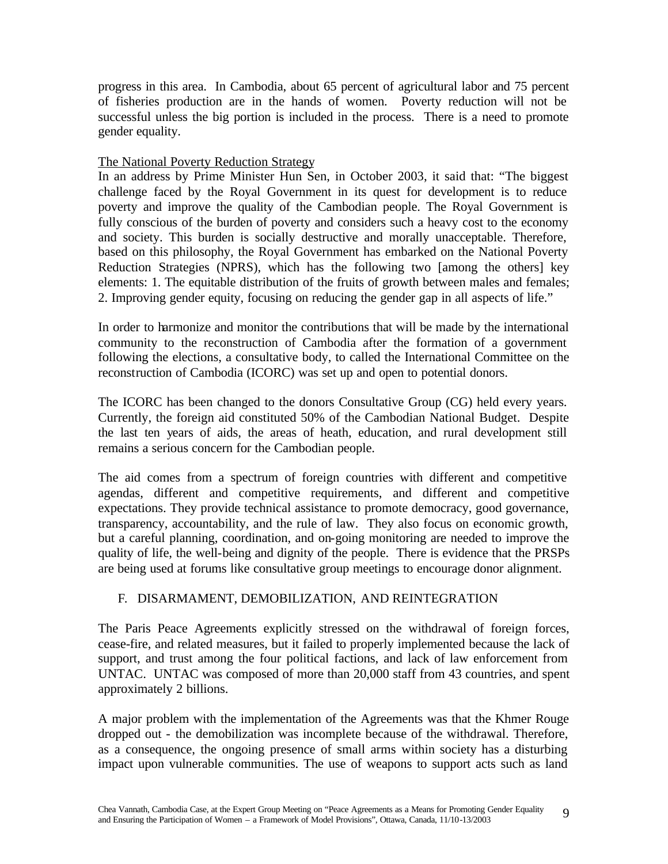progress in this area. In Cambodia, about 65 percent of agricultural labor and 75 percent of fisheries production are in the hands of women. Poverty reduction will not be successful unless the big portion is included in the process. There is a need to promote gender equality.

### The National Poverty Reduction Strategy

In an address by Prime Minister Hun Sen, in October 2003, it said that: "The biggest challenge faced by the Royal Government in its quest for development is to reduce poverty and improve the quality of the Cambodian people. The Royal Government is fully conscious of the burden of poverty and considers such a heavy cost to the economy and society. This burden is socially destructive and morally unacceptable. Therefore, based on this philosophy, the Royal Government has embarked on the National Poverty Reduction Strategies (NPRS), which has the following two [among the others] key elements: 1. The equitable distribution of the fruits of growth between males and females; 2. Improving gender equity, focusing on reducing the gender gap in all aspects of life."

In order to harmonize and monitor the contributions that will be made by the international community to the reconstruction of Cambodia after the formation of a government following the elections, a consultative body, to called the International Committee on the reconstruction of Cambodia (ICORC) was set up and open to potential donors.

The ICORC has been changed to the donors Consultative Group (CG) held every years. Currently, the foreign aid constituted 50% of the Cambodian National Budget. Despite the last ten years of aids, the areas of heath, education, and rural development still remains a serious concern for the Cambodian people.

The aid comes from a spectrum of foreign countries with different and competitive agendas, different and competitive requirements, and different and competitive expectations. They provide technical assistance to promote democracy, good governance, transparency, accountability, and the rule of law. They also focus on economic growth, but a careful planning, coordination, and on-going monitoring are needed to improve the quality of life, the well-being and dignity of the people. There is evidence that the PRSPs are being used at forums like consultative group meetings to encourage donor alignment.

# F. DISARMAMENT, DEMOBILIZATION, AND REINTEGRATION

The Paris Peace Agreements explicitly stressed on the withdrawal of foreign forces, cease-fire, and related measures, but it failed to properly implemented because the lack of support, and trust among the four political factions, and lack of law enforcement from UNTAC. UNTAC was composed of more than 20,000 staff from 43 countries, and spent approximately 2 billions.

A major problem with the implementation of the Agreements was that the Khmer Rouge dropped out - the demobilization was incomplete because of the withdrawal. Therefore, as a consequence, the ongoing presence of small arms within society has a disturbing impact upon vulnerable communities. The use of weapons to support acts such as land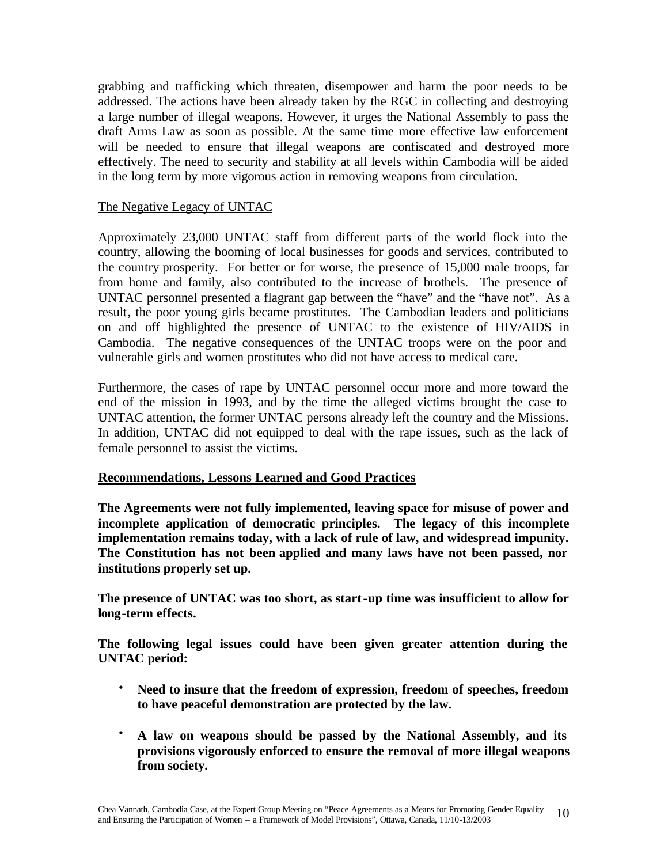grabbing and trafficking which threaten, disempower and harm the poor needs to be addressed. The actions have been already taken by the RGC in collecting and destroying a large number of illegal weapons. However, it urges the National Assembly to pass the draft Arms Law as soon as possible. At the same time more effective law enforcement will be needed to ensure that illegal weapons are confiscated and destroyed more effectively. The need to security and stability at all levels within Cambodia will be aided in the long term by more vigorous action in removing weapons from circulation.

#### The Negative Legacy of UNTAC

Approximately 23,000 UNTAC staff from different parts of the world flock into the country, allowing the booming of local businesses for goods and services, contributed to the country prosperity. For better or for worse, the presence of 15,000 male troops, far from home and family, also contributed to the increase of brothels. The presence of UNTAC personnel presented a flagrant gap between the "have" and the "have not". As a result, the poor young girls became prostitutes. The Cambodian leaders and politicians on and off highlighted the presence of UNTAC to the existence of HIV/AIDS in Cambodia. The negative consequences of the UNTAC troops were on the poor and vulnerable girls and women prostitutes who did not have access to medical care.

Furthermore, the cases of rape by UNTAC personnel occur more and more toward the end of the mission in 1993, and by the time the alleged victims brought the case to UNTAC attention, the former UNTAC persons already left the country and the Missions. In addition, UNTAC did not equipped to deal with the rape issues, such as the lack of female personnel to assist the victims.

### **Recommendations, Lessons Learned and Good Practices**

**The Agreements were not fully implemented, leaving space for misuse of power and incomplete application of democratic principles. The legacy of this incomplete implementation remains today, with a lack of rule of law, and widespread impunity. The Constitution has not been applied and many laws have not been passed, nor institutions properly set up.**

**The presence of UNTAC was too short, as start-up time was insufficient to allow for long-term effects.**

**The following legal issues could have been given greater attention during the UNTAC period:** 

- **Need to insure that the freedom of expression, freedom of speeches, freedom to have peaceful demonstration are protected by the law.**
- **A law on weapons should be passed by the National Assembly, and its provisions vigorously enforced to ensure the removal of more illegal weapons from society.**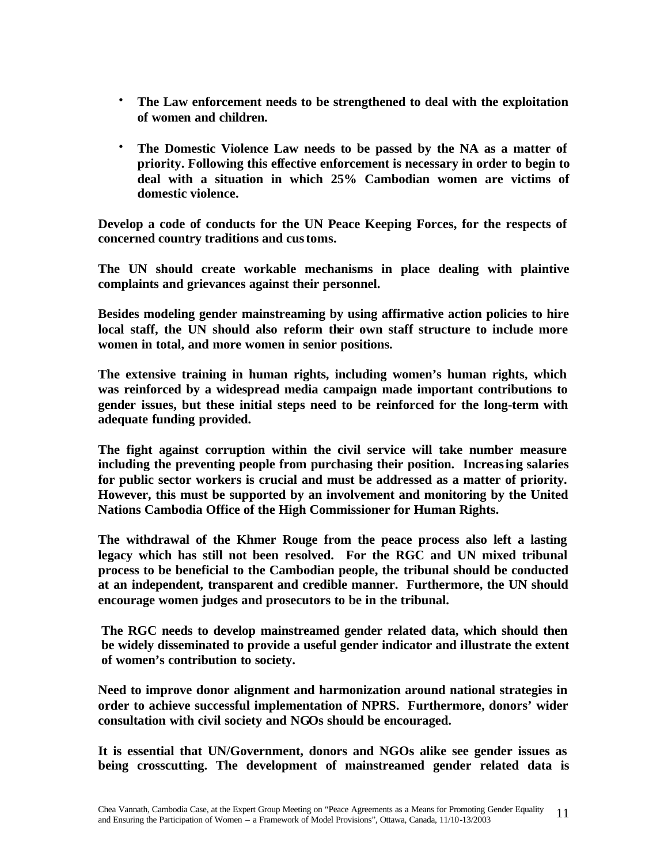- **The Law enforcement needs to be strengthened to deal with the exploitation of women and children.**
- **The Domestic Violence Law needs to be passed by the NA as a matter of priority. Following this effective enforcement is necessary in order to begin to deal with a situation in which 25% Cambodian women are victims of domestic violence.**

**Develop a code of conducts for the UN Peace Keeping Forces, for the respects of concerned country traditions and customs.**

**The UN should create workable mechanisms in place dealing with plaintive complaints and grievances against their personnel.**

**Besides modeling gender mainstreaming by using affirmative action policies to hire local staff, the UN should also reform their own staff structure to include more women in total, and more women in senior positions.**

**The extensive training in human rights, including women's human rights, which was reinforced by a widespread media campaign made important contributions to gender issues, but these initial steps need to be reinforced for the long-term with adequate funding provided.**

**The fight against corruption within the civil service will take number measure including the preventing people from purchasing their position. Increasing salaries for public sector workers is crucial and must be addressed as a matter of priority. However, this must be supported by an involvement and monitoring by the United Nations Cambodia Office of the High Commissioner for Human Rights.**

**The withdrawal of the Khmer Rouge from the peace process also left a lasting legacy which has still not been resolved. For the RGC and UN mixed tribunal process to be beneficial to the Cambodian people, the tribunal should be conducted at an independent, transparent and credible manner. Furthermore, the UN should encourage women judges and prosecutors to be in the tribunal.**

**The RGC needs to develop mainstreamed gender related data, which should then be widely disseminated to provide a useful gender indicator and illustrate the extent of women's contribution to society.**

**Need to improve donor alignment and harmonization around national strategies in order to achieve successful implementation of NPRS. Furthermore, donors' wider consultation with civil society and NGOs should be encouraged.**

**It is essential that UN/Government, donors and NGOs alike see gender issues as being crosscutting. The development of mainstreamed gender related data is**